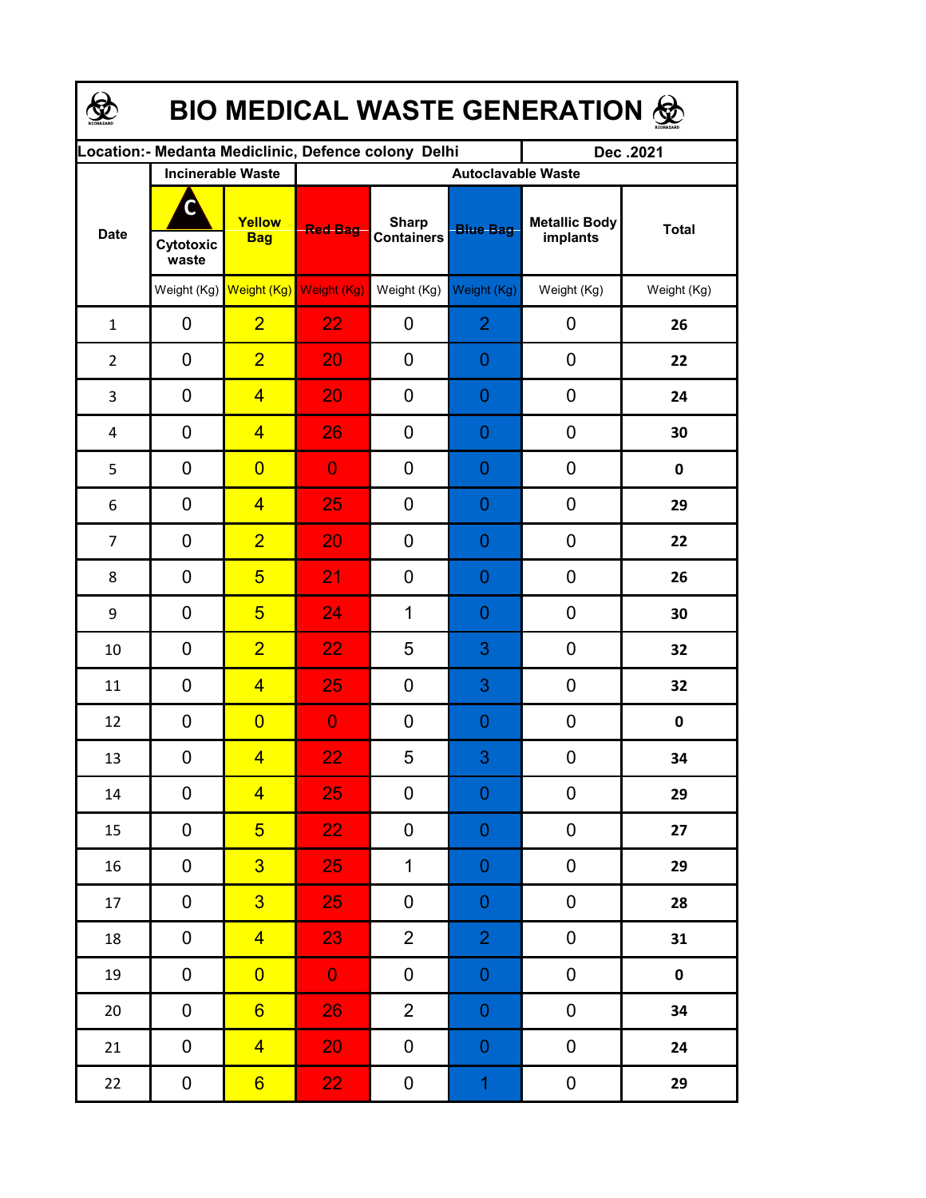| <b>BIO MEDICAL WASTE GENERATION ©</b> |                    |                                     |                                                     |                                   |                  |                                  |              |  |  |  |
|---------------------------------------|--------------------|-------------------------------------|-----------------------------------------------------|-----------------------------------|------------------|----------------------------------|--------------|--|--|--|
|                                       |                    |                                     | Location:- Medanta Mediclinic, Defence colony Delhi |                                   |                  | Dec.2021                         |              |  |  |  |
| <b>Date</b>                           |                    | <b>Incinerable Waste</b>            | <b>Autoclavable Waste</b>                           |                                   |                  |                                  |              |  |  |  |
|                                       | Cytotoxic<br>waste | Yellow<br><b>Bag</b>                | <b>Red Bag</b>                                      | <b>Sharp</b><br><b>Containers</b> | <b>Blue Bag</b>  | <b>Metallic Body</b><br>implants | <b>Total</b> |  |  |  |
|                                       |                    | Weight (Kg) Weight (Kg) Weight (Kg) |                                                     | Weight (Kg)                       | Weight (Kg)      | Weight (Kg)                      | Weight (Kg)  |  |  |  |
| $\mathbf{1}$                          | 0                  | $\overline{2}$                      | 22                                                  | 0                                 | $\overline{2}$   | 0                                | 26           |  |  |  |
| $\overline{2}$                        | 0                  | $\overline{2}$                      | 20                                                  | 0                                 | 0                | 0                                | 22           |  |  |  |
| 3                                     | 0                  | $\overline{4}$                      | 20                                                  | 0                                 | 0                | 0                                | 24           |  |  |  |
| 4                                     | 0                  | $\overline{4}$                      | 26                                                  | 0                                 | 0                | $\mathbf 0$                      | 30           |  |  |  |
| 5                                     | 0                  | $\overline{0}$                      | $\overline{0}$                                      | 0                                 | 0                | $\mathbf 0$                      | 0            |  |  |  |
| 6                                     | 0                  | $\overline{4}$                      | 25                                                  | 0                                 | 0                | 0                                | 29           |  |  |  |
| $\overline{7}$                        | 0                  | $\overline{2}$                      | 20                                                  | 0                                 | 0                | 0                                | 22           |  |  |  |
| 8                                     | 0                  | $5\overline{)}$                     | 21                                                  | $\overline{0}$                    | 0                | 0                                | 26           |  |  |  |
| 9                                     | 0                  | $5\overline{)}$                     | 24                                                  | $\mathbf 1$                       | 0                | 0                                | 30           |  |  |  |
| 10                                    | 0                  | $\overline{2}$                      | 22                                                  | 5                                 | 3                | 0                                | 32           |  |  |  |
| 11                                    | 0                  | $\overline{4}$                      | 25                                                  | 0                                 | 3                | 0                                | 32           |  |  |  |
| 12                                    | 0                  | $\overline{0}$                      | $\overline{0}$                                      | 0                                 | 0                | $\mathbf 0$                      | 0            |  |  |  |
| 13                                    | 0                  | $\overline{\mathbf{4}}$             | 22                                                  | 5                                 | 3                | $\boldsymbol{0}$                 | 34           |  |  |  |
| $14\,$                                | 0                  | $\overline{4}$                      | 25                                                  | 0                                 | $\boldsymbol{0}$ | 0                                | 29           |  |  |  |
| 15                                    | 0                  | 5 <sup>5</sup>                      | 22 <sub>1</sub>                                     | 0                                 | $\boldsymbol{0}$ | 0                                | 27           |  |  |  |
| 16                                    | 0                  | 3 <sup>5</sup>                      | 25                                                  | $\mathbf 1$                       | $\boldsymbol{0}$ | $\boldsymbol{0}$                 | 29           |  |  |  |
| 17                                    | $\mathbf 0$        | 3 <sup>1</sup>                      | 25                                                  | 0                                 | $\boldsymbol{0}$ | $\pmb{0}$                        | 28           |  |  |  |
| 18                                    | 0                  | $\overline{4}$                      | 23                                                  | $\overline{2}$                    | $\overline{2}$   | $\pmb{0}$                        | 31           |  |  |  |
| 19                                    | 0                  | $\overline{0}$                      | $\mathbf{0}$                                        | 0                                 | $\boldsymbol{0}$ | $\pmb{0}$                        | $\pmb{0}$    |  |  |  |
| $20\,$                                | 0                  | $6 \overline{}$                     | 26                                                  | $\overline{2}$                    | $\boldsymbol{0}$ | $\pmb{0}$                        | 34           |  |  |  |
| 21                                    | 0                  | $\overline{4}$                      | 20                                                  | 0                                 | $\boldsymbol{0}$ | $\pmb{0}$                        | 24           |  |  |  |
| 22                                    | 0                  | 6 <sup>1</sup>                      | 22 <sub>1</sub>                                     | 0                                 | $\mathbf{1}$     | $\boldsymbol{0}$                 | 29           |  |  |  |